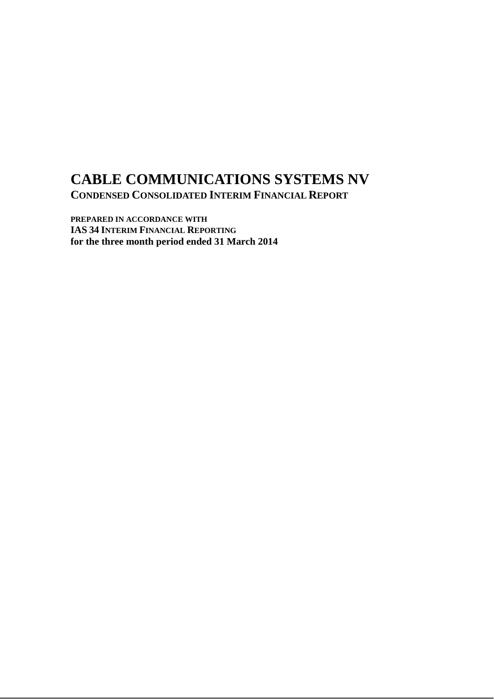# **CABLE COMMUNICATIONS SYSTEMS NV CONDENSED CONSOLIDATED INTERIM FINANCIAL REPORT**

**PREPARED IN ACCORDANCE WITH IAS 34 INTERIM FINANCIAL REPORTING for the three month period ended 31 March 2014**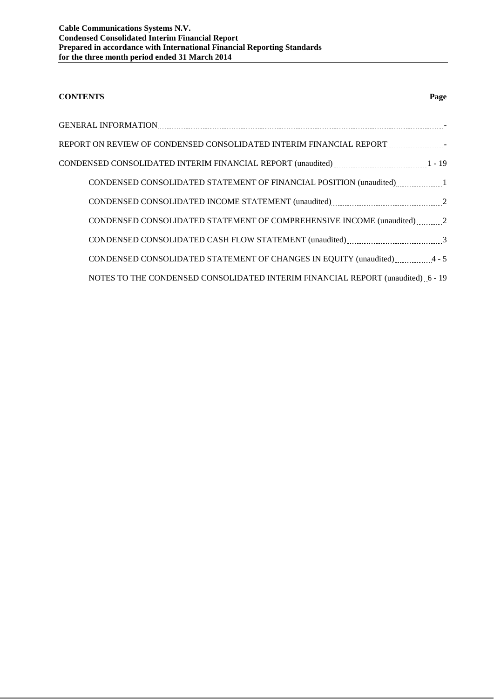## **CONTENTS Page**

| GENERAL INFORMATION ELECTRIC CONTROLLER EN ELECTRIC CONTROLLER EN ELECTRIC CONTROLLER EN ELECTRIC CONTROLLER E |
|----------------------------------------------------------------------------------------------------------------|
| REPORT ON REVIEW OF CONDENSED CONSOLIDATED INTERIM FINANCIAL REPORT FOR A SAMPLE ASSEMBLE.                     |
|                                                                                                                |
| CONDENSED CONSOLIDATED STATEMENT OF FINANCIAL POSITION (unaudited) 1                                           |
|                                                                                                                |
| CONDENSED CONSOLIDATED STATEMENT OF COMPREHENSIVE INCOME (unaudited)2                                          |
|                                                                                                                |
| CONDENSED CONSOLIDATED STATEMENT OF CHANGES IN EQUITY (unaudited) 4 - 5                                        |
| NOTES TO THE CONDENSED CONSOLIDATED INTERIM FINANCIAL REPORT (unaudited) 6 - 19                                |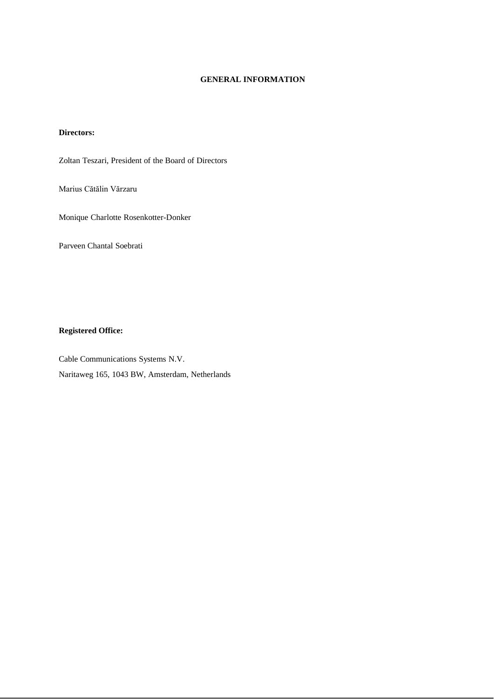### **GENERAL INFORMATION**

#### **Directors:**

Zoltan Teszari, President of the Board of Directors

Marius Cătălin Vărzaru

Monique Charlotte Rosenkotter-Donker

Parveen Chantal Soebrati

#### **Registered Office:**

Cable Communications Systems N.V. Naritaweg 165, 1043 BW, Amsterdam, Netherlands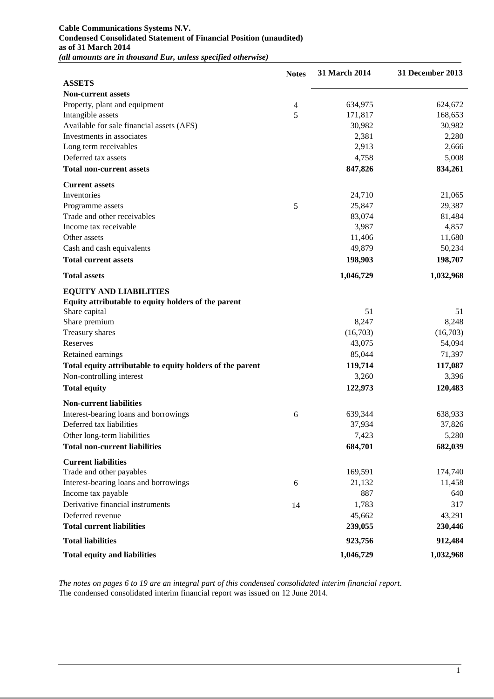#### **Cable Communications Systems N.V. Condensed Consolidated Statement of Financial Position (unaudited) as of 31 March 2014** *(all amounts are in thousand Eur, unless specified otherwise)*

|                                                           | <b>Notes</b>   | 31 March 2014 | 31 December 2013 |
|-----------------------------------------------------------|----------------|---------------|------------------|
| <b>ASSETS</b>                                             |                |               |                  |
| <b>Non-current assets</b>                                 |                |               |                  |
| Property, plant and equipment                             | $\overline{4}$ | 634,975       | 624,672          |
| Intangible assets                                         | 5              | 171,817       | 168,653          |
| Available for sale financial assets (AFS)                 |                | 30,982        | 30,982           |
| Investments in associates                                 |                | 2,381         | 2,280            |
| Long term receivables                                     |                | 2,913         | 2,666            |
| Deferred tax assets                                       |                | 4,758         | 5,008            |
| <b>Total non-current assets</b>                           |                | 847,826       | 834,261          |
| <b>Current assets</b>                                     |                |               |                  |
| Inventories                                               |                | 24,710        | 21,065           |
| Programme assets                                          | 5              | 25,847        | 29,387           |
| Trade and other receivables                               |                | 83,074        | 81,484           |
| Income tax receivable                                     |                | 3,987         | 4,857            |
| Other assets                                              |                | 11,406        | 11,680           |
| Cash and cash equivalents                                 |                | 49,879        | 50,234           |
| <b>Total current assets</b>                               |                | 198,903       | 198,707          |
| <b>Total assets</b>                                       |                | 1,046,729     | 1,032,968        |
| <b>EQUITY AND LIABILITIES</b>                             |                |               |                  |
| Equity attributable to equity holders of the parent       |                |               |                  |
| Share capital                                             |                | 51            | 51               |
| Share premium                                             |                | 8,247         | 8,248            |
| Treasury shares                                           |                | (16,703)      | (16,703)         |
| Reserves                                                  |                | 43,075        | 54,094           |
| Retained earnings                                         |                | 85,044        | 71,397           |
| Total equity attributable to equity holders of the parent |                | 119,714       | 117,087          |
| Non-controlling interest                                  |                | 3,260         | 3,396            |
| <b>Total equity</b>                                       |                | 122,973       | 120,483          |
| <b>Non-current liabilities</b>                            |                |               |                  |
| Interest-bearing loans and borrowings                     | 6              | 639,344       | 638,933          |
| Deferred tax liabilities                                  |                | 37,934        | 37,826           |
| Other long-term liabilities                               |                | 7,423         | 5,280            |
| <b>Total non-current liabilities</b>                      |                |               |                  |
|                                                           |                | 684,701       | 682,039          |
| <b>Current liabilities</b>                                |                |               |                  |
| Trade and other payables                                  |                | 169,591       | 174,740          |
| Interest-bearing loans and borrowings                     | 6              | 21,132        | 11,458           |
| Income tax payable                                        |                | 887           | 640              |
| Derivative financial instruments                          | 14             | 1,783         | 317              |
| Deferred revenue                                          |                | 45,662        | 43,291           |
| <b>Total current liabilities</b>                          |                | 239,055       | 230,446          |
| <b>Total liabilities</b>                                  |                | 923,756       | 912,484          |
| <b>Total equity and liabilities</b>                       |                | 1,046,729     | 1,032,968        |

*The notes on pages 6 to 19 are an integral part of this condensed consolidated interim financial report*. The condensed consolidated interim financial report was issued on 12 June 2014.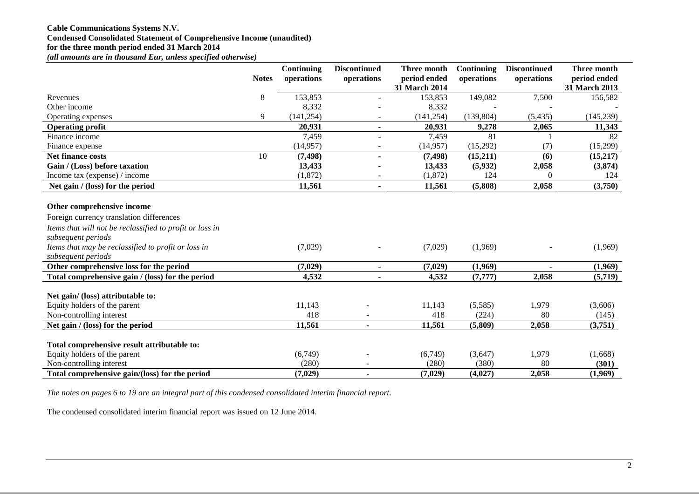## **Cable Communications Systems N.V. Condensed Consolidated Statement of Comprehensive Income (unaudited) for the three month period ended 31 March 2014**

*(all amounts are in thousand Eur, unless specified otherwise)*

|                                                          |              | Continuing | <b>Discontinued</b> | Three month                   | <b>Continuing</b> | <b>Discontinued</b> | Three month                   |
|----------------------------------------------------------|--------------|------------|---------------------|-------------------------------|-------------------|---------------------|-------------------------------|
|                                                          | <b>Notes</b> | operations | operations          | period ended<br>31 March 2014 | operations        | operations          | period ended<br>31 March 2013 |
| Revenues                                                 | $\,8\,$      | 153,853    |                     | 153,853                       | 149,082           | 7,500               | 156,582                       |
| Other income                                             |              | 8,332      |                     | 8,332                         |                   |                     |                               |
| Operating expenses                                       | 9            | (141, 254) |                     | (141, 254)                    | (139, 804)        | (5, 435)            | (145, 239)                    |
| <b>Operating profit</b>                                  |              | 20,931     | $\blacksquare$      | 20,931                        | 9,278             | 2,065               | 11,343                        |
| Finance income                                           |              | 7,459      |                     | 7,459                         | 81                |                     | 82                            |
| Finance expense                                          |              | (14, 957)  |                     | (14,957)                      | (15,292)          | (7)                 | (15,299)                      |
| <b>Net finance costs</b>                                 | 10           | (7, 498)   |                     | (7, 498)                      | (15,211)          | (6)                 | (15,217)                      |
| Gain / (Loss) before taxation                            |              | 13,433     |                     | 13,433                        | (5,932)           | 2,058               | (3,874)                       |
| Income tax (expense) / income                            |              | (1,872)    |                     | (1,872)                       | 124               | $\Omega$            | 124                           |
| Net gain / (loss) for the period                         |              | 11,561     | ٠                   | 11,561                        | (5,808)           | 2,058               | (3,750)                       |
|                                                          |              |            |                     |                               |                   |                     |                               |
| Other comprehensive income                               |              |            |                     |                               |                   |                     |                               |
| Foreign currency translation differences                 |              |            |                     |                               |                   |                     |                               |
| Items that will not be reclassified to profit or loss in |              |            |                     |                               |                   |                     |                               |
| subsequent periods                                       |              |            |                     |                               |                   |                     |                               |
| Items that may be reclassified to profit or loss in      |              | (7,029)    |                     | (7,029)                       | (1,969)           |                     | (1,969)                       |
| subsequent periods                                       |              |            |                     |                               |                   |                     |                               |
| Other comprehensive loss for the period                  |              | (7,029)    | ٠                   | (7,029)                       | (1,969)           |                     | (1,969)                       |
| Total comprehensive gain / (loss) for the period         |              | 4,532      |                     | 4,532                         | (7, 777)          | 2,058               | (5,719)                       |
|                                                          |              |            |                     |                               |                   |                     |                               |
| Net gain/ (loss) attributable to:                        |              |            |                     |                               |                   |                     |                               |
| Equity holders of the parent                             |              | 11,143     |                     | 11,143                        | (5,585)           | 1,979               | (3,606)                       |
| Non-controlling interest                                 |              | 418        |                     | 418                           | (224)             | 80                  | (145)                         |
| Net gain / (loss) for the period                         |              | 11,561     |                     | 11,561                        | (5,809)           | 2,058               | (3,751)                       |
| Total comprehensive result attributable to:              |              |            |                     |                               |                   |                     |                               |
| Equity holders of the parent                             |              | (6,749)    |                     | (6,749)                       | (3,647)           | 1,979               | (1,668)                       |
| Non-controlling interest                                 |              | (280)      |                     | (280)                         | (380)             | 80                  | (301)                         |
| Total comprehensive gain/(loss) for the period           |              | (7,029)    |                     | (7,029)                       | (4,027)           | 2,058               | (1,969)                       |
|                                                          |              |            |                     |                               |                   |                     |                               |

*The notes on pages 6 to 19 are an integral part of this condensed consolidated interim financial report*.

The condensed consolidated interim financial report was issued on 12 June 2014.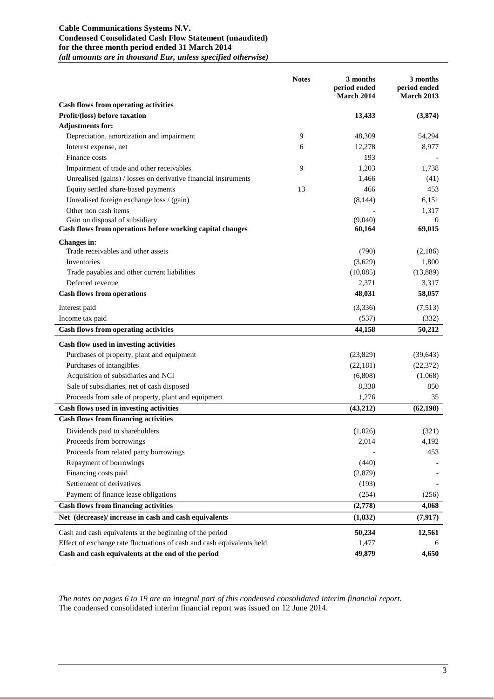#### **Cable Communications Systems N.V. Condensed Consolidated Cash Flow Statement (unaudited) for the three month period ended 31 March 2014** *(all amounts are in thousand Eur, unless specified otherwise)*

|                                                                        | <b>Notes</b> | 3 months<br>period ended<br>March 2014 | 3 months<br>period ended<br><b>March 2013</b> |
|------------------------------------------------------------------------|--------------|----------------------------------------|-----------------------------------------------|
| <b>Cash flows from operating activities</b>                            |              |                                        |                                               |
| Profit/(loss) before taxation                                          |              | 13,433                                 | (3,874)                                       |
| <b>Adjustments for:</b>                                                |              |                                        |                                               |
| Depreciation, amortization and impairment                              | 9            | 48,309                                 | 54,294                                        |
| Interest expense, net                                                  | 6            | 12,278                                 | 8,977                                         |
| Finance costs                                                          |              | 193                                    |                                               |
| Impairment of trade and other receivables                              | 9            | 1,203                                  | 1,738                                         |
| Unrealised (gains) / losses on derivative financial instruments        |              | 1,466                                  | (41)                                          |
| Equity settled share-based payments                                    | 13           | 466                                    | 453                                           |
| Unrealised foreign exchange loss / (gain)                              |              | (8,144)                                | 6,151                                         |
| Other non cash items                                                   |              |                                        | 1,317                                         |
| Gain on disposal of subsidiary                                         |              | (9,040)                                | $\theta$                                      |
| Cash flows from operations before working capital changes              |              | 60,164                                 | 69,015                                        |
| Changes in:                                                            |              |                                        |                                               |
| Trade receivables and other assets                                     |              | (790)                                  | (2,186)                                       |
| Inventories                                                            |              | (3,629)                                | 1,800                                         |
| Trade payables and other current liabilities                           |              | (10,085)                               | (13,889)                                      |
| Deferred revenue                                                       |              | 2,371                                  | 3,317                                         |
| <b>Cash flows from operations</b>                                      |              | 48,031                                 | 58,057                                        |
| Interest paid                                                          |              | (3,336)                                | (7,513)                                       |
| Income tax paid                                                        |              | (537)                                  | (332)                                         |
| <b>Cash flows from operating activities</b>                            |              | 44,158                                 | 50,212                                        |
| Cash flow used in investing activities                                 |              |                                        |                                               |
| Purchases of property, plant and equipment                             |              | (23,829)                               | (39, 643)                                     |
| Purchases of intangibles                                               |              | (22,181)                               | (22, 372)                                     |
| Acquisition of subsidiaries and NCI                                    |              | (6,808)                                | (1,068)                                       |
| Sale of subsidiaries, net of cash disposed                             |              | 8,330                                  | 850                                           |
| Proceeds from sale of property, plant and equipment                    |              | 1,276                                  | 35                                            |
| Cash flows used in investing activities                                |              | (43,212)                               | (62, 198)                                     |
| <b>Cash flows from financing activities</b>                            |              |                                        |                                               |
| Dividends paid to shareholders                                         |              | (1,026)                                | (321)                                         |
| Proceeds from borrowings                                               |              | 2,014                                  | 4,192                                         |
| Proceeds from related party borrowings                                 |              |                                        | 453                                           |
| Repayment of borrowings                                                |              | (440)                                  |                                               |
| Financing costs paid                                                   |              | (2,879)                                |                                               |
| Settlement of derivatives                                              |              | (193)                                  |                                               |
| Payment of finance lease obligations                                   |              | (254)                                  | (256)                                         |
| <b>Cash flows from financing activities</b>                            |              | (2,778)                                | 4,068                                         |
| Net (decrease)/ increase in cash and cash equivalents                  |              | (1, 832)                               | (7, 917)                                      |
|                                                                        |              |                                        |                                               |
| Cash and cash equivalents at the beginning of the period               |              | 50,234                                 | 12,561                                        |
| Effect of exchange rate fluctuations of cash and cash equivalents held |              | 1,477                                  | 6                                             |
| Cash and cash equivalents at the end of the period                     |              | 49,879                                 | 4,650                                         |

*The notes on pages 6 to 19 are an integral part of this condensed consolidated interim financial report*. The condensed consolidated interim financial report was issued on 12 June 2014.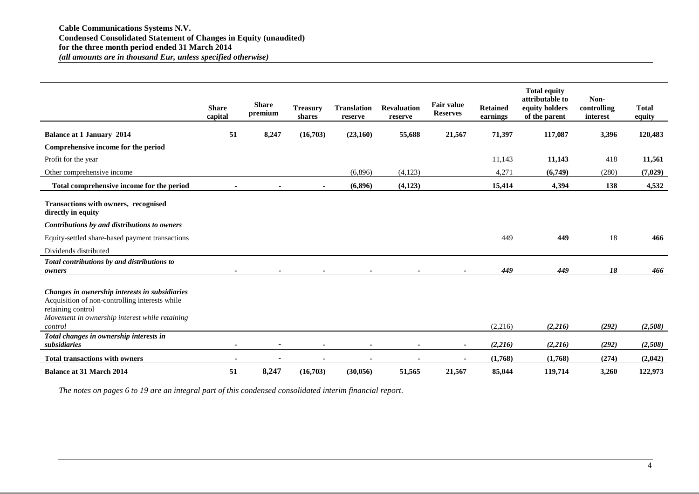|                                                                                                                                                                                    | <b>Share</b><br>capital | <b>Share</b><br>premium | <b>Treasury</b><br>shares | <b>Translation</b><br>reserve | <b>Revaluation</b><br>reserve | <b>Fair value</b><br><b>Reserves</b> | <b>Retained</b><br>earnings | <b>Total equity</b><br>attributable to<br>equity holders<br>of the parent | Non-<br>controlling<br>interest | <b>Total</b><br>equity |
|------------------------------------------------------------------------------------------------------------------------------------------------------------------------------------|-------------------------|-------------------------|---------------------------|-------------------------------|-------------------------------|--------------------------------------|-----------------------------|---------------------------------------------------------------------------|---------------------------------|------------------------|
| <b>Balance at 1 January 2014</b>                                                                                                                                                   | 51                      | 8,247                   | (16,703)                  | (23,160)                      | 55,688                        | 21,567                               | 71,397                      | 117,087                                                                   | 3,396                           | 120,483                |
| Comprehensive income for the period                                                                                                                                                |                         |                         |                           |                               |                               |                                      |                             |                                                                           |                                 |                        |
| Profit for the year                                                                                                                                                                |                         |                         |                           |                               |                               |                                      | 11,143                      | 11,143                                                                    | 418                             | 11,561                 |
| Other comprehensive income                                                                                                                                                         |                         |                         |                           | (6,896)                       | (4,123)                       |                                      | 4,271                       | (6,749)                                                                   | (280)                           | (7,029)                |
| Total comprehensive income for the period                                                                                                                                          |                         |                         |                           | (6,896)                       | (4,123)                       |                                      | 15,414                      | 4,394                                                                     | 138                             | 4,532                  |
| Transactions with owners, recognised<br>directly in equity<br>Contributions by and distributions to owners<br>Equity-settled share-based payment transactions                      |                         |                         |                           |                               |                               |                                      | 449                         | 449                                                                       | 18                              | 466                    |
| Dividends distributed                                                                                                                                                              |                         |                         |                           |                               |                               |                                      |                             |                                                                           |                                 |                        |
| Total contributions by and distributions to<br>owners                                                                                                                              |                         |                         |                           |                               |                               |                                      | 449                         | 449                                                                       | 18                              | 466                    |
| Changes in ownership interests in subsidiaries<br>Acquisition of non-controlling interests while<br>retaining control<br>Movement in ownership interest while retaining<br>control |                         |                         |                           |                               |                               |                                      | (2,216)                     | (2,216)                                                                   | (292)                           | (2,508)                |
| Total changes in ownership interests in                                                                                                                                            |                         |                         |                           |                               |                               |                                      |                             |                                                                           |                                 |                        |
| subsidiaries                                                                                                                                                                       |                         |                         |                           |                               |                               |                                      | (2,216)                     | (2,216)                                                                   | (292)                           | (2,508)                |
| <b>Total transactions with owners</b>                                                                                                                                              | $\blacksquare$          |                         |                           |                               |                               | $\sim$                               | (1,768)                     | (1,768)                                                                   | (274)                           | (2,042)                |
| <b>Balance at 31 March 2014</b>                                                                                                                                                    | 51                      | 8,247                   | (16,703)                  | (30, 056)                     | 51,565                        | 21,567                               | 85,044                      | 119,714                                                                   | 3,260                           | 122,973                |

*The notes on pages 6 to 19 are an integral part of this condensed consolidated interim financial report*.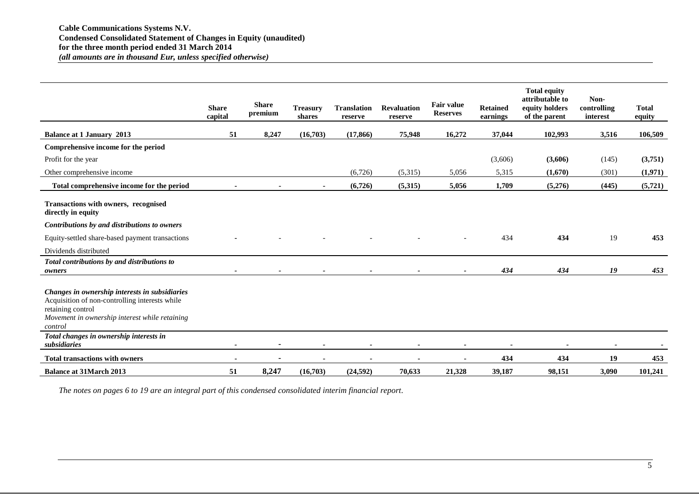|                                                                                                                                                                                    | <b>Share</b><br>capital | <b>Share</b><br>premium | <b>Treasury</b><br>shares | <b>Translation</b><br>reserve | <b>Revaluation</b><br>reserve | <b>Fair value</b><br><b>Reserves</b> | <b>Retained</b><br>earnings | <b>Total equity</b><br>attributable to<br>equity holders<br>of the parent | Non-<br>controlling<br>interest | <b>Total</b><br>equity |
|------------------------------------------------------------------------------------------------------------------------------------------------------------------------------------|-------------------------|-------------------------|---------------------------|-------------------------------|-------------------------------|--------------------------------------|-----------------------------|---------------------------------------------------------------------------|---------------------------------|------------------------|
| <b>Balance at 1 January 2013</b>                                                                                                                                                   | 51                      | 8,247                   | (16,703)                  | (17, 866)                     | 75,948                        | 16,272                               | 37,044                      | 102,993                                                                   | 3,516                           | 106,509                |
| Comprehensive income for the period                                                                                                                                                |                         |                         |                           |                               |                               |                                      |                             |                                                                           |                                 |                        |
| Profit for the year                                                                                                                                                                |                         |                         |                           |                               |                               |                                      | (3,606)                     | (3,606)                                                                   | (145)                           | (3,751)                |
| Other comprehensive income                                                                                                                                                         |                         |                         |                           | (6,726)                       | (5,315)                       | 5,056                                | 5,315                       | (1,670)                                                                   | (301)                           | (1,971)                |
| Total comprehensive income for the period                                                                                                                                          |                         |                         |                           | (6,726)                       | (5,315)                       | 5,056                                | 1,709                       | (5,276)                                                                   | (445)                           | (5,721)                |
| Transactions with owners, recognised<br>directly in equity<br>Contributions by and distributions to owners                                                                         |                         |                         |                           |                               |                               |                                      |                             |                                                                           |                                 |                        |
| Equity-settled share-based payment transactions                                                                                                                                    |                         |                         |                           |                               |                               |                                      | 434                         | 434                                                                       | 19                              | 453                    |
| Dividends distributed                                                                                                                                                              |                         |                         |                           |                               |                               |                                      |                             |                                                                           |                                 |                        |
| Total contributions by and distributions to<br>owners                                                                                                                              |                         |                         |                           |                               |                               |                                      | 434                         | 434                                                                       | 19                              | 453                    |
| Changes in ownership interests in subsidiaries<br>Acquisition of non-controlling interests while<br>retaining control<br>Movement in ownership interest while retaining<br>control |                         |                         |                           |                               |                               |                                      |                             |                                                                           |                                 |                        |
| Total changes in ownership interests in<br>subsidiaries                                                                                                                            |                         |                         |                           |                               |                               |                                      |                             |                                                                           |                                 |                        |
| <b>Total transactions with owners</b>                                                                                                                                              |                         |                         |                           |                               |                               |                                      | 434                         | 434                                                                       | 19                              | 453                    |
| <b>Balance at 31 March 2013</b>                                                                                                                                                    | 51                      | 8,247                   | (16,703)                  | (24,592)                      | 70,633                        | 21,328                               | 39,187                      | 98,151                                                                    | 3,090                           | 101,241                |

*The notes on pages 6 to 19 are an integral part of this condensed consolidated interim financial report*.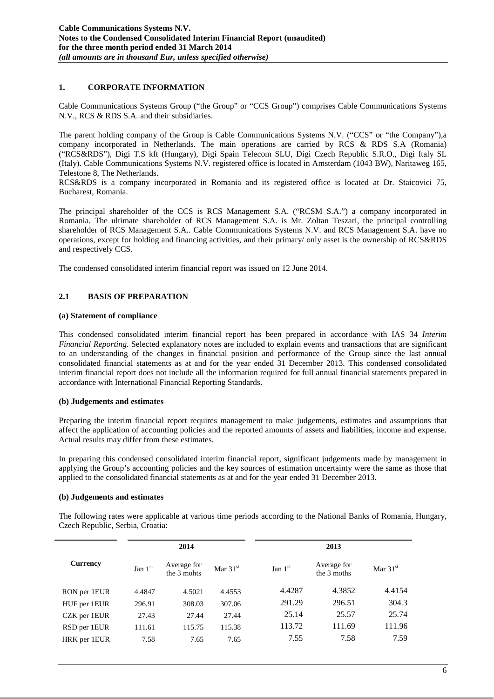## **1. CORPORATE INFORMATION**

Cable Communications Systems Group ("the Group" or "CCS Group") comprises Cable Communications Systems N.V., RCS & RDS S.A. and their subsidiaries.

The parent holding company of the Group is Cable Communications Systems N.V. ("CCS" or "the Company"),a company incorporated in Netherlands. The main operations are carried by RCS & RDS S.A (Romania) ("RCS&RDS"), Digi T.S kft (Hungary), Digi Spain Telecom SLU, Digi Czech Republic S.R.O., Digi Italy SL (Italy). Cable Communications Systems N.V. registered office is located in Amsterdam (1043 BW), Naritaweg 165, Telestone 8, The Netherlands.

RCS&RDS is a company incorporated in Romania and its registered office is located at Dr. Staicovici 75, Bucharest, Romania.

The principal shareholder of the CCS is RCS Management S.A. ("RCSM S.A.") a company incorporated in Romania. The ultimate shareholder of RCS Management S.A. is Mr. Zoltan Teszari, the principal controlling shareholder of RCS Management S.A.. Cable Communications Systems N.V. and RCS Management S.A. have no operations, except for holding and financing activities, and their primary/ only asset is the ownership of RCS&RDS and respectively CCS.

The condensed consolidated interim financial report was issued on 12 June 2014.

## **2.1 BASIS OF PREPARATION**

#### **(a) Statement of compliance**

This condensed consolidated interim financial report has been prepared in accordance with IAS 34 *Interim Financial Reporting*. Selected explanatory notes are included to explain events and transactions that are significant to an understanding of the changes in financial position and performance of the Group since the last annual consolidated financial statements as at and for the year ended 31 December 2013. This condensed consolidated interim financial report does not include all the information required for full annual financial statements prepared in accordance with International Financial Reporting Standards.

## **(b) Judgements and estimates**

Preparing the interim financial report requires management to make judgements, estimates and assumptions that affect the application of accounting policies and the reported amounts of assets and liabilities, income and expense. Actual results may differ from these estimates.

In preparing this condensed consolidated interim financial report, significant judgements made by management in applying the Group's accounting policies and the key sources of estimation uncertainty were the same as those that applied to the consolidated financial statements as at and for the year ended 31 December 2013.

#### **(b) Judgements and estimates**

The following rates were applicable at various time periods according to the National Banks of Romania, Hungary, Czech Republic, Serbia, Croatia:

| 2014            |           |                            | 2013       |           |                            |            |  |  |
|-----------------|-----------|----------------------------|------------|-----------|----------------------------|------------|--|--|
| <b>Currency</b> | Jan $1st$ | Average for<br>the 3 mohts | Mar $31st$ | Jan $1st$ | Average for<br>the 3 moths | Mar $31st$ |  |  |
| RON per 1EUR    | 4.4847    | 4.5021                     | 4.4553     | 4.4287    | 4.3852                     | 4.4154     |  |  |
| HUF per 1EUR    | 296.91    | 308.03                     | 307.06     | 291.29    | 296.51                     | 304.3      |  |  |
| CZK per 1EUR    | 27.43     | 27.44                      | 27.44      | 25.14     | 25.57                      | 25.74      |  |  |
| RSD per 1EUR    | 111.61    | 115.75                     | 115.38     | 113.72    | 111.69                     | 111.96     |  |  |
| HRK per 1EUR    | 7.58      | 7.65                       | 7.65       | 7.55      | 7.58                       | 7.59       |  |  |
|                 |           |                            |            |           |                            |            |  |  |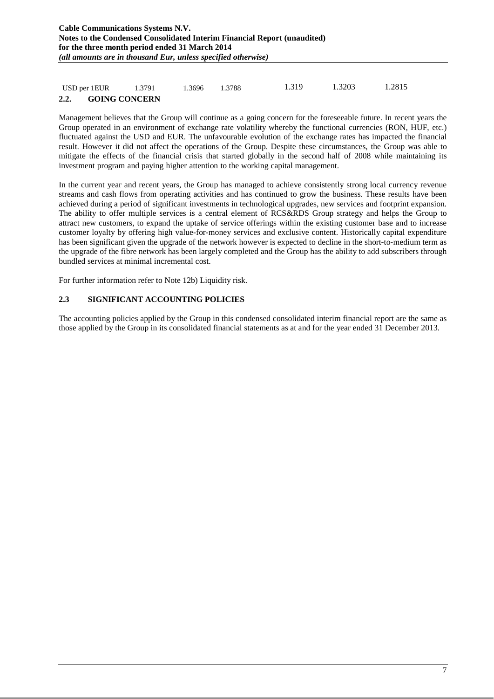## USD per 1EUR 1.3791 1.3696 1.3788 1.319 1.3203 1.2815 **2.2. GOING CONCERN**

Management believes that the Group will continue as a going concern for the foreseeable future. In recent years the Group operated in an environment of exchange rate volatility whereby the functional currencies (RON, HUF, etc.) fluctuated against the USD and EUR. The unfavourable evolution of the exchange rates has impacted the financial result. However it did not affect the operations of the Group. Despite these circumstances, the Group was able to mitigate the effects of the financial crisis that started globally in the second half of 2008 while maintaining its investment program and paying higher attention to the working capital management.

In the current year and recent years, the Group has managed to achieve consistently strong local currency revenue streams and cash flows from operating activities and has continued to grow the business. These results have been achieved during a period of significant investments in technological upgrades, new services and footprint expansion. The ability to offer multiple services is a central element of RCS&RDS Group strategy and helps the Group to attract new customers, to expand the uptake of service offerings within the existing customer base and to increase customer loyalty by offering high value-for-money services and exclusive content. Historically capital expenditure has been significant given the upgrade of the network however is expected to decline in the short-to-medium term as the upgrade of the fibre network has been largely completed and the Group has the ability to add subscribers through bundled services at minimal incremental cost.

For further information refer to Note 12b) Liquidity risk.

#### **2.3 SIGNIFICANT ACCOUNTING POLICIES**

The accounting policies applied by the Group in this condensed consolidated interim financial report are the same as those applied by the Group in its consolidated financial statements as at and for the year ended 31 December 2013.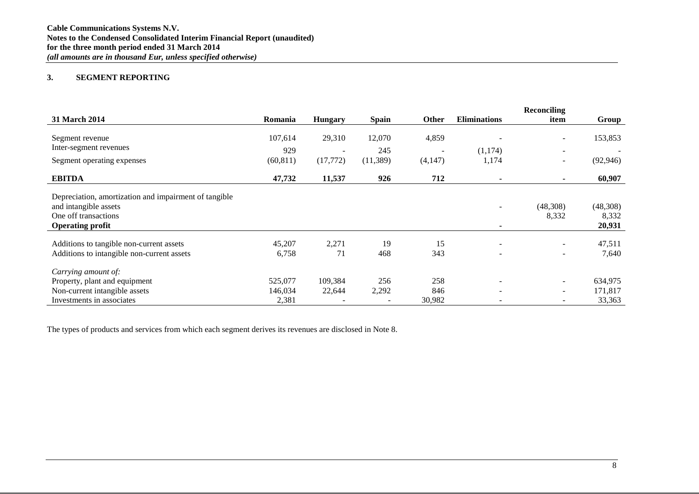#### **3. SEGMENT REPORTING**

|                                                       |           |                          |              |                          |                     | Reconciling              |           |
|-------------------------------------------------------|-----------|--------------------------|--------------|--------------------------|---------------------|--------------------------|-----------|
| 31 March 2014                                         | Romania   | <b>Hungary</b>           | <b>Spain</b> | Other                    | <b>Eliminations</b> | item                     | Group     |
|                                                       |           |                          |              |                          |                     |                          |           |
| Segment revenue                                       | 107,614   | 29,310                   | 12,070       | 4,859                    |                     | $\sim$                   | 153,853   |
| Inter-segment revenues                                | 929       | $\overline{\phantom{0}}$ | 245          | $\overline{\phantom{a}}$ | (1,174)             | $\overline{\phantom{0}}$ |           |
| Segment operating expenses                            | (60, 811) | (17,772)                 | (11,389)     | (4,147)                  | 1,174               | $\sim$                   | (92, 946) |
| <b>EBITDA</b>                                         | 47,732    | 11,537                   | 926          | 712                      |                     |                          | 60,907    |
| Depreciation, amortization and impairment of tangible |           |                          |              |                          |                     |                          |           |
| and intangible assets                                 |           |                          |              |                          |                     | (48,308)                 | (48,308)  |
| One off transactions                                  |           |                          |              |                          |                     | 8,332                    | 8,332     |
| <b>Operating profit</b>                               |           |                          |              |                          | ٠                   |                          | 20,931    |
|                                                       |           |                          |              |                          |                     |                          |           |
| Additions to tangible non-current assets              | 45,207    | 2,271                    | 19           | 15                       |                     |                          | 47,511    |
| Additions to intangible non-current assets            | 6,758     | 71                       | 468          | 343                      |                     | $\sim$                   | 7,640     |
| Carrying amount of:                                   |           |                          |              |                          |                     |                          |           |
| Property, plant and equipment                         | 525,077   | 109,384                  | 256          | 258                      |                     |                          | 634,975   |
| Non-current intangible assets                         | 146,034   | 22,644                   | 2,292        | 846                      |                     |                          | 171,817   |
| Investments in associates                             | 2,381     |                          |              | 30,982                   |                     |                          | 33,363    |

The types of products and services from which each segment derives its revenues are disclosed in Note 8.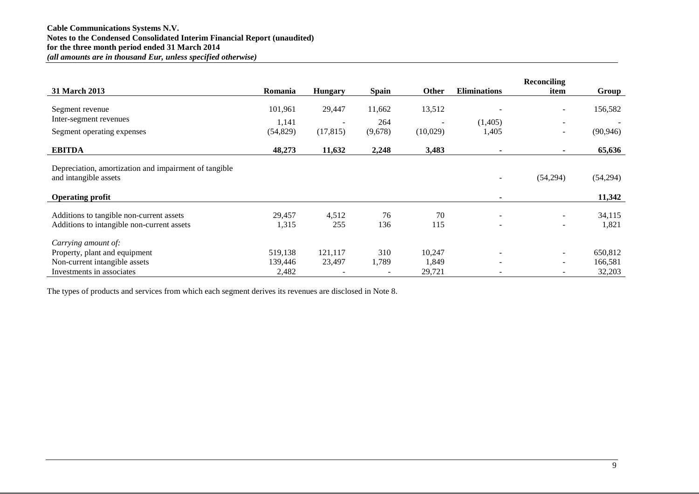|                                                       |           |                |              |                          |                     | <b>Reconciling</b>       |           |
|-------------------------------------------------------|-----------|----------------|--------------|--------------------------|---------------------|--------------------------|-----------|
| 31 March 2013                                         | Romania   | <b>Hungary</b> | <b>Spain</b> | <b>Other</b>             | <b>Eliminations</b> | item                     | Group     |
|                                                       |           |                |              |                          |                     |                          |           |
| Segment revenue                                       | 101,961   | 29,447         | 11,662       | 13,512                   |                     | -                        | 156,582   |
| Inter-segment revenues                                | 1,141     | $\sim$         | 264          | $\overline{\phantom{a}}$ | (1,405)             | $\overline{\phantom{a}}$ |           |
| Segment operating expenses                            | (54, 829) | (17, 815)      | (9,678)      | (10,029)                 | 1,405               | -                        | (90, 946) |
| <b>EBITDA</b>                                         | 48,273    | 11,632         | 2,248        | 3,483                    | $\blacksquare$      |                          | 65,636    |
|                                                       |           |                |              |                          |                     |                          |           |
| Depreciation, amortization and impairment of tangible |           |                |              |                          |                     |                          |           |
| and intangible assets                                 |           |                |              |                          |                     | (54,294)                 | (54,294)  |
| <b>Operating profit</b>                               |           |                |              |                          | ٠                   |                          | 11,342    |
|                                                       |           |                |              |                          |                     |                          |           |
| Additions to tangible non-current assets              | 29,457    | 4,512          | 76           | 70                       |                     |                          | 34,115    |
| Additions to intangible non-current assets            | 1,315     | 255            | 136          | 115                      |                     | $\overline{\phantom{0}}$ | 1,821     |
| Carrying amount of:                                   |           |                |              |                          |                     |                          |           |
| Property, plant and equipment                         | 519,138   | 121,117        | 310          | 10,247                   |                     | ۰                        | 650,812   |
| Non-current intangible assets                         | 139,446   | 23,497         | 1,789        | 1,849                    |                     | $\overline{\phantom{0}}$ | 166,581   |
| Investments in associates                             | 2,482     |                |              | 29,721                   |                     |                          | 32,203    |

The types of products and services from which each segment derives its revenues are disclosed in Note 8.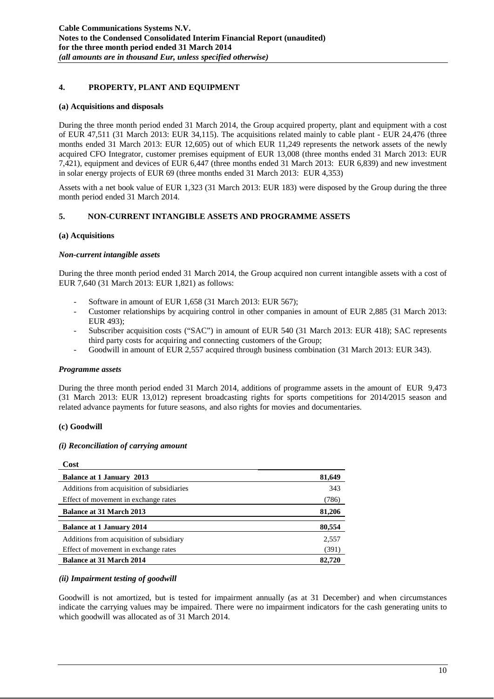## **4. PROPERTY, PLANT AND EQUIPMENT**

#### **(a) Acquisitions and disposals**

During the three month period ended 31 March 2014, the Group acquired property, plant and equipment with a cost of EUR 47,511 (31 March 2013: EUR 34,115). The acquisitions related mainly to cable plant - EUR 24,476 (three months ended 31 March 2013: EUR 12,605) out of which EUR 11,249 represents the network assets of the newly acquired CFO Integrator, customer premises equipment of EUR 13,008 (three months ended 31 March 2013: EUR 7,421), equipment and devices of EUR 6,447 (three months ended 31 March 2013: EUR 6,839) and new investment in solar energy projects of EUR 69 (three months ended 31 March 2013: EUR 4,353)

Assets with a net book value of EUR 1,323 (31 March 2013: EUR 183) were disposed by the Group during the three month period ended 31 March 2014.

## **5. NON-CURRENT INTANGIBLE ASSETS AND PROGRAMME ASSETS**

#### **(a) Acquisitions**

#### *Non-current intangible assets*

During the three month period ended 31 March 2014, the Group acquired non current intangible assets with a cost of EUR 7,640 (31 March 2013: EUR 1,821) as follows:

- Software in amount of EUR 1,658 (31 March 2013: EUR 567);
- Customer relationships by acquiring control in other companies in amount of EUR 2,885 (31 March 2013: EUR 493);
- Subscriber acquisition costs ("SAC") in amount of EUR 540 (31 March 2013: EUR 418); SAC represents third party costs for acquiring and connecting customers of the Group;
- Goodwill in amount of EUR 2,557 acquired through business combination (31 March 2013: EUR 343).

#### *Programme assets*

During the three month period ended 31 March 2014, additions of programme assets in the amount of EUR 9,473 (31 March 2013: EUR 13,012) represent broadcasting rights for sports competitions for 2014/2015 season and related advance payments for future seasons, and also rights for movies and documentaries.

## **(c) Goodwill**

**Cost**

## *(i) Reconciliation of carrying amount*

| U0St                                       |        |
|--------------------------------------------|--------|
| <b>Balance at 1 January 2013</b>           | 81,649 |
| Additions from acquisition of subsidiaries | 343    |
| Effect of movement in exchange rates       | (786)  |
| <b>Balance at 31 March 2013</b>            | 81,206 |
| <b>Balance at 1 January 2014</b>           | 80,554 |
| Additions from acquisition of subsidiary   | 2,557  |
| Effect of movement in exchange rates       | (391)  |
| <b>Balance at 31 March 2014</b>            | 82,720 |

## *(ii) Impairment testing of goodwill*

Goodwill is not amortized, but is tested for impairment annually (as at 31 December) and when circumstances indicate the carrying values may be impaired. There were no impairment indicators for the cash generating units to which goodwill was allocated as of 31 March 2014.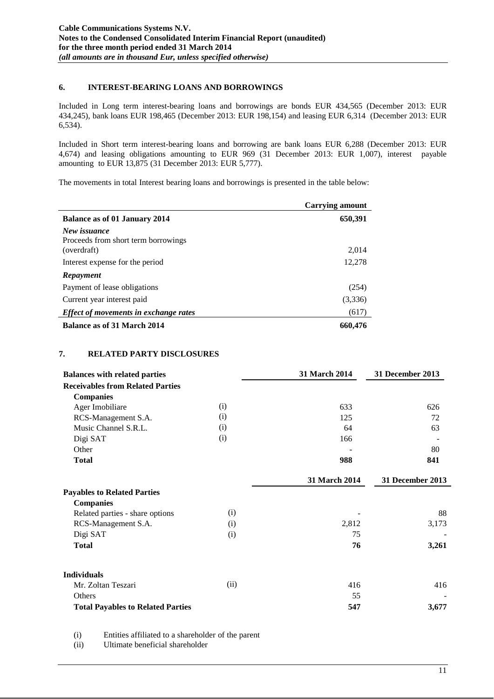#### **6. INTEREST-BEARING LOANS AND BORROWINGS**

Included in Long term interest-bearing loans and borrowings are bonds EUR 434,565 (December 2013: EUR 434,245), bank loans EUR 198,465 (December 2013: EUR 198,154) and leasing EUR 6,314 (December 2013: EUR 6,534).

Included in Short term interest-bearing loans and borrowing are bank loans EUR 6,288 (December 2013: EUR 4,674) and leasing obligations amounting to EUR 969 (31 December 2013: EUR 1,007), interest payable amounting to EUR 13,875 (31 December 2013: EUR 5,777).

The movements in total Interest bearing loans and borrowings is presented in the table below:

|                                                                    | <b>Carrying amount</b> |
|--------------------------------------------------------------------|------------------------|
| Balance as of 01 January 2014                                      | 650,391                |
| New issuance<br>Proceeds from short term borrowings<br>(overdraft) | 2,014                  |
| Interest expense for the period                                    | 12,278                 |
| Repayment                                                          |                        |
| Payment of lease obligations                                       | (254)                  |
| Current year interest paid                                         | (3,336)                |
| Effect of movements in exchange rates                              | (617)                  |
| Balance as of 31 March 2014                                        | 660,476                |

## **7. RELATED PARTY DISCLOSURES**

| <b>Balances with related parties</b>     |      | 31 March 2014 | 31 December 2013 |
|------------------------------------------|------|---------------|------------------|
| <b>Receivables from Related Parties</b>  |      |               |                  |
| <b>Companies</b>                         |      |               |                  |
| Ager Imobiliare                          | (i)  | 633           | 626              |
| RCS-Management S.A.                      | (i)  | 125           | 72               |
| Music Channel S.R.L.                     | (i)  | 64            | 63               |
| Digi SAT                                 | (i)  | 166           |                  |
| Other                                    |      |               | 80               |
| <b>Total</b>                             |      | 988           | 841              |
|                                          |      | 31 March 2014 | 31 December 2013 |
| <b>Payables to Related Parties</b>       |      |               |                  |
| <b>Companies</b>                         |      |               |                  |
| Related parties - share options          | (i)  |               | 88               |
| RCS-Management S.A.                      | (i)  | 2,812         | 3,173            |
| Digi SAT                                 | (i)  | 75            |                  |
| <b>Total</b>                             |      | 76            | 3,261            |
| <b>Individuals</b>                       |      |               |                  |
| Mr. Zoltan Teszari                       | (ii) | 416           | 416              |
| <b>Others</b>                            |      | 55            |                  |
| <b>Total Payables to Related Parties</b> |      | 547           | 3,677            |

(i) Entities affiliated to a shareholder of the parent

(ii) Ultimate beneficial shareholder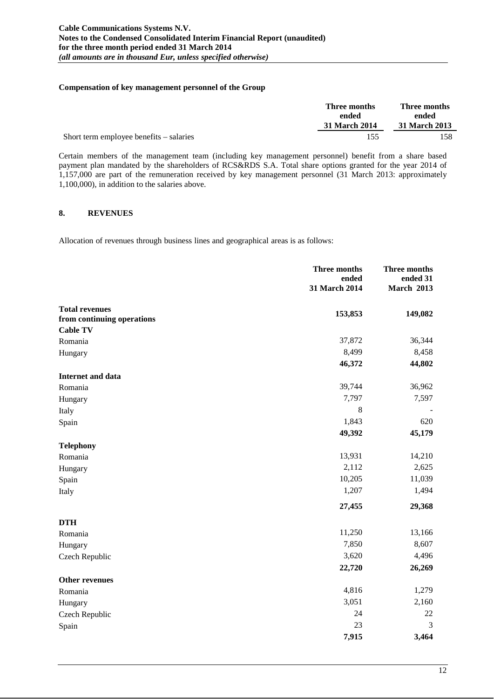#### **Compensation of key management personnel of the Group**

|                                         | Three months  | Three months  |  |
|-----------------------------------------|---------------|---------------|--|
|                                         | ended         | ended         |  |
|                                         | 31 March 2014 | 31 March 2013 |  |
| Short term employee benefits – salaries | 155           | 158.          |  |

Certain members of the management team (including key management personnel) benefit from a share based payment plan mandated by the shareholders of RCS&RDS S.A. Total share options granted for the year 2014 of 1,157,000 are part of the remuneration received by key management personnel (31 March 2013: approximately 1,100,000), in addition to the salaries above.

#### **8. REVENUES**

Allocation of revenues through business lines and geographical areas is as follows:

|                            | Three months<br>ended<br>31 March 2014 | <b>Three months</b><br>ended 31<br><b>March 2013</b> |
|----------------------------|----------------------------------------|------------------------------------------------------|
| <b>Total revenues</b>      | 153,853                                | 149,082                                              |
| from continuing operations |                                        |                                                      |
| <b>Cable TV</b>            |                                        |                                                      |
| Romania                    | 37,872                                 | 36,344                                               |
| Hungary                    | 8,499                                  | 8,458                                                |
|                            | 46,372                                 | 44,802                                               |
| <b>Internet and data</b>   |                                        |                                                      |
| Romania                    | 39,744                                 | 36,962                                               |
| Hungary                    | 7,797                                  | 7,597                                                |
| Italy                      | 8                                      |                                                      |
| Spain                      | 1,843                                  | 620                                                  |
|                            | 49,392                                 | 45,179                                               |
| <b>Telephony</b>           |                                        |                                                      |
| Romania                    | 13,931                                 | 14,210                                               |
| Hungary                    | 2,112                                  | 2,625                                                |
| Spain                      | 10,205                                 | 11,039                                               |
| Italy                      | 1,207                                  | 1,494                                                |
|                            | 27,455                                 | 29,368                                               |
| <b>DTH</b>                 |                                        |                                                      |
| Romania                    | 11,250                                 | 13,166                                               |
| Hungary                    | 7,850                                  | 8,607                                                |
| Czech Republic             | 3,620                                  | 4,496                                                |
|                            | 22,720                                 | 26,269                                               |
| <b>Other revenues</b>      |                                        |                                                      |
| Romania                    | 4,816                                  | 1,279                                                |
| Hungary                    | 3,051                                  | 2,160                                                |
| Czech Republic             | 24                                     | 22                                                   |
| Spain                      | 23                                     | 3                                                    |
|                            | 7,915                                  | 3,464                                                |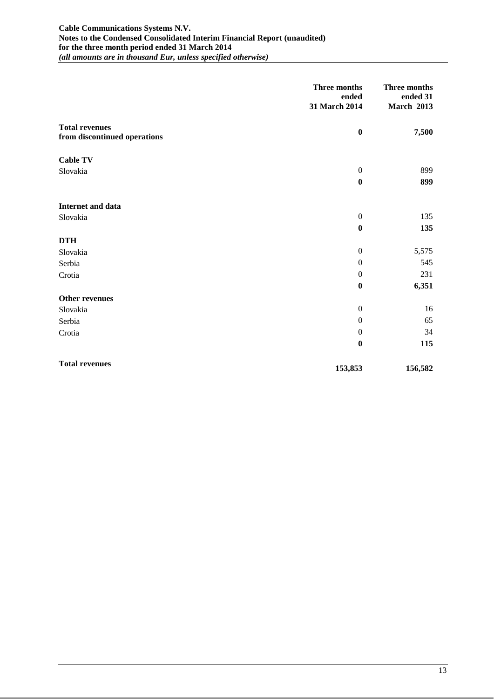#### **Cable Communications Systems N.V. Notes to the Condensed Consolidated Interim Financial Report (unaudited) for the three month period ended 31 March 2014** *(all amounts are in thousand Eur, unless specified otherwise)*

|                                                       | Three months<br>ended<br>31 March 2014 | Three months<br>ended 31<br><b>March 2013</b> |
|-------------------------------------------------------|----------------------------------------|-----------------------------------------------|
| <b>Total revenues</b><br>from discontinued operations | $\bf{0}$                               | 7,500                                         |
| <b>Cable TV</b>                                       |                                        |                                               |
| Slovakia                                              | $\boldsymbol{0}$                       | 899                                           |
|                                                       | $\boldsymbol{0}$                       | 899                                           |
| Internet and data                                     |                                        |                                               |
| Slovakia                                              | $\boldsymbol{0}$                       | 135                                           |
|                                                       | $\boldsymbol{0}$                       | 135                                           |
| <b>DTH</b>                                            |                                        |                                               |
| Slovakia                                              | $\boldsymbol{0}$                       | 5,575                                         |
| Serbia                                                | $\boldsymbol{0}$                       | 545                                           |
| Crotia                                                | $\boldsymbol{0}$                       | 231                                           |
|                                                       | $\bf{0}$                               | 6,351                                         |
| Other revenues                                        |                                        |                                               |
| Slovakia                                              | $\boldsymbol{0}$                       | 16                                            |
| Serbia                                                | $\mathbf{0}$                           | 65                                            |
| Crotia                                                | $\boldsymbol{0}$                       | 34                                            |
|                                                       | $\boldsymbol{0}$                       | 115                                           |
| <b>Total revenues</b>                                 | 153,853                                | 156,582                                       |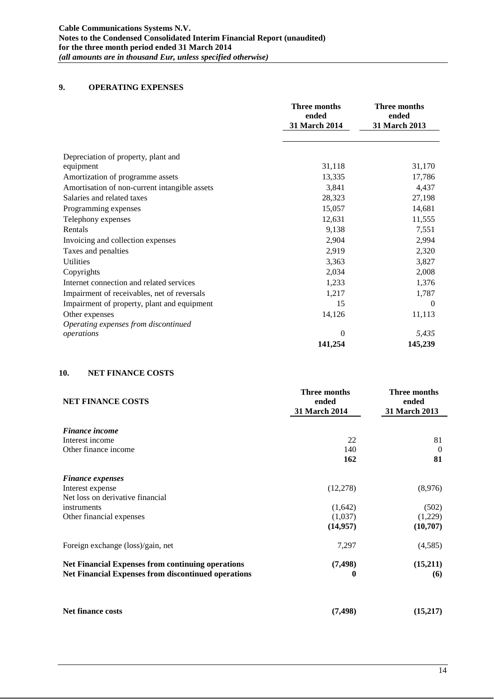## **9. OPERATING EXPENSES**

|                                               | <b>Three months</b><br>ended<br>31 March 2014 | Three months<br>ended<br>31 March 2013 |
|-----------------------------------------------|-----------------------------------------------|----------------------------------------|
|                                               |                                               |                                        |
| Depreciation of property, plant and           |                                               |                                        |
| equipment                                     | 31,118                                        | 31,170                                 |
| Amortization of programme assets              | 13,335                                        | 17,786                                 |
| Amortisation of non-current intangible assets | 3,841                                         | 4,437                                  |
| Salaries and related taxes                    | 28,323                                        | 27,198                                 |
| Programming expenses                          | 15,057                                        | 14,681                                 |
| Telephony expenses                            | 12,631                                        | 11,555                                 |
| Rentals                                       | 9,138                                         | 7,551                                  |
| Invoicing and collection expenses             | 2,904                                         | 2,994                                  |
| Taxes and penalties                           | 2,919                                         | 2,320                                  |
| <b>Utilities</b>                              | 3,363                                         | 3,827                                  |
| Copyrights                                    | 2,034                                         | 2,008                                  |
| Internet connection and related services      | 1,233                                         | 1,376                                  |
| Impairment of receivables, net of reversals   | 1,217                                         | 1,787                                  |
| Impairment of property, plant and equipment   | 15                                            | $\Omega$                               |
| Other expenses                                | 14,126                                        | 11,113                                 |
| Operating expenses from discontinued          |                                               |                                        |
| operations                                    | $\Omega$                                      | 5,435                                  |
|                                               | 141,254                                       | 145,239                                |

## **10. NET FINANCE COSTS**

| <b>NET FINANCE COSTS</b>                                   | Three months<br>ended<br>31 March 2014 | Three months<br>ended<br>31 March 2013 |
|------------------------------------------------------------|----------------------------------------|----------------------------------------|
| <b>Finance income</b>                                      |                                        |                                        |
| Interest income                                            | 22                                     | 81                                     |
| Other finance income                                       | 140                                    | $\theta$                               |
|                                                            | 162                                    | 81                                     |
| <b>Finance expenses</b>                                    |                                        |                                        |
| Interest expense                                           | (12, 278)                              | (8,976)                                |
| Net loss on derivative financial                           |                                        |                                        |
| instruments                                                | (1,642)                                | (502)                                  |
| Other financial expenses                                   | (1,037)                                | (1,229)                                |
|                                                            | (14, 957)                              | (10,707)                               |
| Foreign exchange (loss)/gain, net                          | 7,297                                  | (4,585)                                |
| <b>Net Financial Expenses from continuing operations</b>   | (7, 498)                               | (15,211)                               |
| <b>Net Financial Expenses from discontinued operations</b> | 0                                      | (6)                                    |
|                                                            |                                        |                                        |
| <b>Net finance costs</b>                                   | (7, 498)                               | (15,217)                               |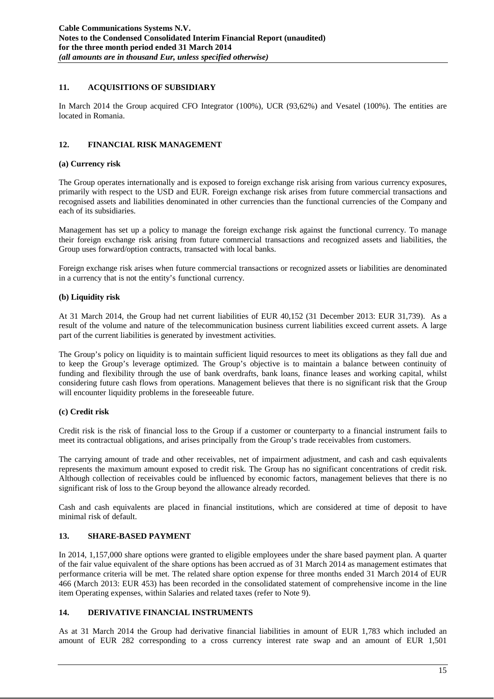## **11. ACQUISITIONS OF SUBSIDIARY**

In March 2014 the Group acquired CFO Integrator (100%), UCR (93,62%) and Vesatel (100%). The entities are located in Romania.

## **12. FINANCIAL RISK MANAGEMENT**

#### **(a) Currency risk**

The Group operates internationally and is exposed to foreign exchange risk arising from various currency exposures, primarily with respect to the USD and EUR. Foreign exchange risk arises from future commercial transactions and recognised assets and liabilities denominated in other currencies than the functional currencies of the Company and each of its subsidiaries.

Management has set up a policy to manage the foreign exchange risk against the functional currency. To manage their foreign exchange risk arising from future commercial transactions and recognized assets and liabilities, the Group uses forward/option contracts, transacted with local banks.

Foreign exchange risk arises when future commercial transactions or recognized assets or liabilities are denominated in a currency that is not the entity's functional currency.

## **(b) Liquidity risk**

At 31 March 2014, the Group had net current liabilities of EUR 40,152 (31 December 2013: EUR 31,739). As a result of the volume and nature of the telecommunication business current liabilities exceed current assets. A large part of the current liabilities is generated by investment activities.

The Group's policy on liquidity is to maintain sufficient liquid resources to meet its obligations as they fall due and to keep the Group's leverage optimized. The Group's objective is to maintain a balance between continuity of funding and flexibility through the use of bank overdrafts, bank loans, finance leases and working capital, whilst considering future cash flows from operations. Management believes that there is no significant risk that the Group will encounter liquidity problems in the foreseeable future.

## **(c) Credit risk**

Credit risk is the risk of financial loss to the Group if a customer or counterparty to a financial instrument fails to meet its contractual obligations, and arises principally from the Group's trade receivables from customers.

The carrying amount of trade and other receivables, net of impairment adjustment, and cash and cash equivalents represents the maximum amount exposed to credit risk. The Group has no significant concentrations of credit risk. Although collection of receivables could be influenced by economic factors, management believes that there is no significant risk of loss to the Group beyond the allowance already recorded.

Cash and cash equivalents are placed in financial institutions, which are considered at time of deposit to have minimal risk of default.

## **13. SHARE-BASED PAYMENT**

In 2014, 1,157,000 share options were granted to eligible employees under the share based payment plan. A quarter of the fair value equivalent of the share options has been accrued as of 31 March 2014 as management estimates that performance criteria will be met. The related share option expense for three months ended 31 March 2014 of EUR 466 (March 2013: EUR 453) has been recorded in the consolidated statement of comprehensive income in the line item Operating expenses, within Salaries and related taxes (refer to Note 9).

## **14. DERIVATIVE FINANCIAL INSTRUMENTS**

As at 31 March 2014 the Group had derivative financial liabilities in amount of EUR 1,783 which included an amount of EUR 282 corresponding to a cross currency interest rate swap and an amount of EUR 1,501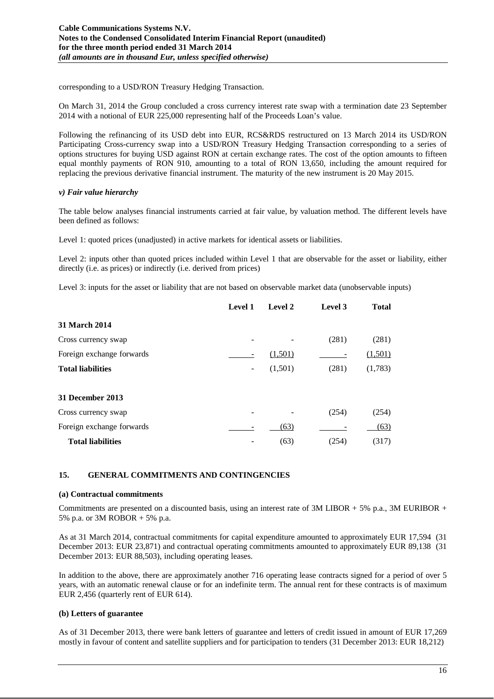corresponding to a USD/RON Treasury Hedging Transaction.

On March 31, 2014 the Group concluded a cross currency interest rate swap with a termination date 23 September 2014 with a notional of EUR 225,000 representing half of the Proceeds Loan's value.

Following the refinancing of its USD debt into EUR, RCS&RDS restructured on 13 March 2014 its USD/RON Participating Cross-currency swap into a USD/RON Treasury Hedging Transaction corresponding to a series of options structures for buying USD against RON at certain exchange rates. The cost of the option amounts to fifteen equal monthly payments of RON 910, amounting to a total of RON 13,650, including the amount required for replacing the previous derivative financial instrument. The maturity of the new instrument is 20 May 2015.

#### *v) Fair value hierarchy*

The table below analyses financial instruments carried at fair value, by valuation method. The different levels have been defined as follows:

Level 1: quoted prices (unadjusted) in active markets for identical assets or liabilities.

Level 2: inputs other than quoted prices included within Level 1 that are observable for the asset or liability, either directly (i.e. as prices) or indirectly (i.e. derived from prices)

Level 3: inputs for the asset or liability that are not based on observable market data (unobservable inputs)

|                           | Level 1 | Level 2 | Level 3 | <b>Total</b> |
|---------------------------|---------|---------|---------|--------------|
| 31 March 2014             |         |         |         |              |
| Cross currency swap       |         |         | (281)   | (281)        |
| Foreign exchange forwards |         | (1,501) |         | (1,501)      |
| <b>Total liabilities</b>  | -       | (1,501) | (281)   | (1,783)      |
|                           |         |         |         |              |
| 31 December 2013          |         |         |         |              |
| Cross currency swap       |         |         | (254)   | (254)        |
| Foreign exchange forwards |         | (63)    |         | (63)         |
| <b>Total liabilities</b>  |         | (63)    | (254)   | (317)        |

#### **15. GENERAL COMMITMENTS AND CONTINGENCIES**

#### **(a) Contractual commitments**

Commitments are presented on a discounted basis, using an interest rate of  $3M$  LIBOR + 5% p.a.,  $3M$  EURIBOR + 5% p.a. or 3M ROBOR + 5% p.a.

As at 31 March 2014, contractual commitments for capital expenditure amounted to approximately EUR 17,594 (31 December 2013: EUR 23,871) and contractual operating commitments amounted to approximately EUR 89,138 (31 December 2013: EUR 88,503), including operating leases.

In addition to the above, there are approximately another 716 operating lease contracts signed for a period of over 5 years, with an automatic renewal clause or for an indefinite term. The annual rent for these contracts is of maximum EUR 2,456 (quarterly rent of EUR 614).

#### **(b) Letters of guarantee**

As of 31 December 2013, there were bank letters of guarantee and letters of credit issued in amount of EUR 17,269 mostly in favour of content and satellite suppliers and for participation to tenders (31 December 2013: EUR 18,212)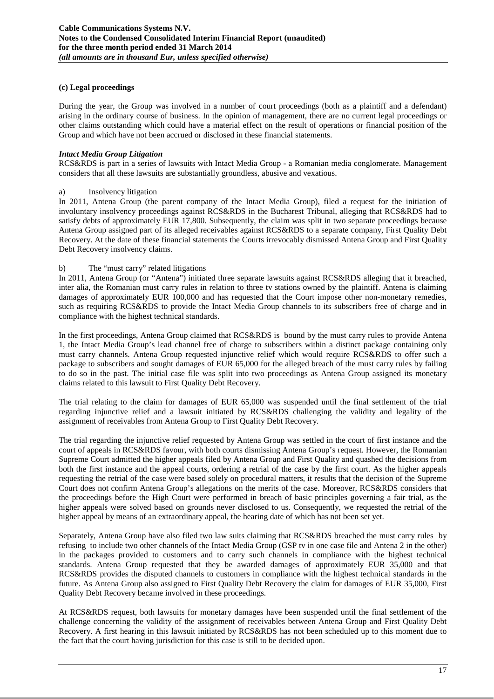#### **(c) Legal proceedings**

During the year, the Group was involved in a number of court proceedings (both as a plaintiff and a defendant) arising in the ordinary course of business. In the opinion of management, there are no current legal proceedings or other claims outstanding which could have a material effect on the result of operations or financial position of the Group and which have not been accrued or disclosed in these financial statements.

#### *Intact Media Group Litigation*

RCS&RDS is part in a series of lawsuits with Intact Media Group - a Romanian media conglomerate. Management considers that all these lawsuits are substantially groundless, abusive and vexatious.

#### a) Insolvency litigation

In 2011, Antena Group (the parent company of the Intact Media Group), filed a request for the initiation of involuntary insolvency proceedings against RCS&RDS in the Bucharest Tribunal, alleging that RCS&RDS had to satisfy debts of approximately EUR 17,800. Subsequently, the claim was split in two separate proceedings because Antena Group assigned part of its alleged receivables against RCS&RDS to a separate company, First Quality Debt Recovery. At the date of these financial statements the Courts irrevocably dismissed Antena Group and First Quality Debt Recovery insolvency claims.

#### b) The "must carry" related litigations

In 2011, Antena Group (or "Antena") initiated three separate lawsuits against RCS&RDS alleging that it breached, inter alia, the Romanian must carry rules in relation to three tv stations owned by the plaintiff. Antena is claiming damages of approximately EUR 100,000 and has requested that the Court impose other non-monetary remedies, such as requiring RCS&RDS to provide the Intact Media Group channels to its subscribers free of charge and in compliance with the highest technical standards.

In the first proceedings, Antena Group claimed that RCS&RDS is bound by the must carry rules to provide Antena 1, the Intact Media Group's lead channel free of charge to subscribers within a distinct package containing only must carry channels. Antena Group requested injunctive relief which would require RCS&RDS to offer such a package to subscribers and sought damages of EUR 65,000 for the alleged breach of the must carry rules by failing to do so in the past. The initial case file was split into two proceedings as Antena Group assigned its monetary claims related to this lawsuit to First Quality Debt Recovery.

The trial relating to the claim for damages of EUR 65,000 was suspended until the final settlement of the trial regarding injunctive relief and a lawsuit initiated by RCS&RDS challenging the validity and legality of the assignment of receivables from Antena Group to First Quality Debt Recovery.

The trial regarding the injunctive relief requested by Antena Group was settled in the court of first instance and the court of appeals in RCS&RDS favour, with both courts dismissing Antena Group's request. However, the Romanian Supreme Court admitted the higher appeals filed by Antena Group and First Quality and quashed the decisions from both the first instance and the appeal courts, ordering a retrial of the case by the first court. As the higher appeals requesting the retrial of the case were based solely on procedural matters, it results that the decision of the Supreme Court does not confirm Antena Group's allegations on the merits of the case. Moreover, RCS&RDS considers that the proceedings before the High Court were performed in breach of basic principles governing a fair trial, as the higher appeals were solved based on grounds never disclosed to us. Consequently, we requested the retrial of the higher appeal by means of an extraordinary appeal, the hearing date of which has not been set yet.

Separately, Antena Group have also filed two law suits claiming that RCS&RDS breached the must carry rules by refusing to include two other channels of the Intact Media Group (GSP tv in one case file and Antena 2 in the other) in the packages provided to customers and to carry such channels in compliance with the highest technical standards. Antena Group requested that they be awarded damages of approximately EUR 35,000 and that RCS&RDS provides the disputed channels to customers in compliance with the highest technical standards in the future. As Antena Group also assigned to First Quality Debt Recovery the claim for damages of EUR 35,000, First Quality Debt Recovery became involved in these proceedings.

At RCS&RDS request, both lawsuits for monetary damages have been suspended until the final settlement of the challenge concerning the validity of the assignment of receivables between Antena Group and First Quality Debt Recovery. A first hearing in this lawsuit initiated by RCS&RDS has not been scheduled up to this moment due to the fact that the court having jurisdiction for this case is still to be decided upon.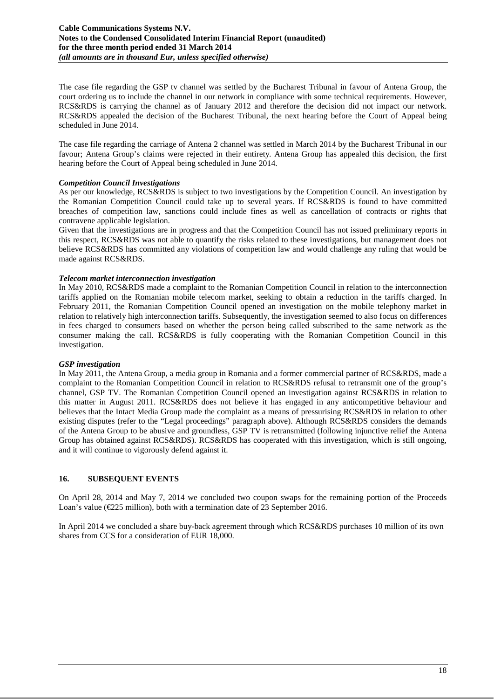The case file regarding the GSP tv channel was settled by the Bucharest Tribunal in favour of Antena Group, the court ordering us to include the channel in our network in compliance with some technical requirements. However, RCS&RDS is carrying the channel as of January 2012 and therefore the decision did not impact our network. RCS&RDS appealed the decision of the Bucharest Tribunal, the next hearing before the Court of Appeal being scheduled in June 2014.

The case file regarding the carriage of Antena 2 channel was settled in March 2014 by the Bucharest Tribunal in our favour; Antena Group's claims were rejected in their entirety. Antena Group has appealed this decision, the first hearing before the Court of Appeal being scheduled in June 2014.

#### *Competition Council Investigations*

As per our knowledge, RCS&RDS is subject to two investigations by the Competition Council. An investigation by the Romanian Competition Council could take up to several years. If RCS&RDS is found to have committed breaches of competition law, sanctions could include fines as well as cancellation of contracts or rights that contravene applicable legislation.

Given that the investigations are in progress and that the Competition Council has not issued preliminary reports in this respect, RCS&RDS was not able to quantify the risks related to these investigations, but management does not believe RCS&RDS has committed any violations of competition law and would challenge any ruling that would be made against RCS&RDS.

#### *Telecom market interconnection investigation*

In May 2010, RCS&RDS made a complaint to the Romanian Competition Council in relation to the interconnection tariffs applied on the Romanian mobile telecom market, seeking to obtain a reduction in the tariffs charged. In February 2011, the Romanian Competition Council opened an investigation on the mobile telephony market in relation to relatively high interconnection tariffs. Subsequently, the investigation seemed to also focus on differences in fees charged to consumers based on whether the person being called subscribed to the same network as the consumer making the call. RCS&RDS is fully cooperating with the Romanian Competition Council in this investigation.

#### *GSP investigation*

In May 2011, the Antena Group, a media group in Romania and a former commercial partner of RCS&RDS, made a complaint to the Romanian Competition Council in relation to RCS&RDS refusal to retransmit one of the group's channel, GSP TV. The Romanian Competition Council opened an investigation against RCS&RDS in relation to this matter in August 2011. RCS&RDS does not believe it has engaged in any anticompetitive behaviour and believes that the Intact Media Group made the complaint as a means of pressurising RCS&RDS in relation to other existing disputes (refer to the "Legal proceedings" paragraph above). Although RCS&RDS considers the demands of the Antena Group to be abusive and groundless, GSP TV is retransmitted (following injunctive relief the Antena Group has obtained against RCS&RDS). RCS&RDS has cooperated with this investigation, which is still ongoing, and it will continue to vigorously defend against it.

## **16. SUBSEQUENT EVENTS**

On April 28, 2014 and May 7, 2014 we concluded two coupon swaps for the remaining portion of the Proceeds Loan's value (€225 million), both with a termination date of 23 September 2016.

In April 2014 we concluded a share buy-back agreement through which RCS&RDS purchases 10 million of its own shares from CCS for a consideration of EUR 18,000.